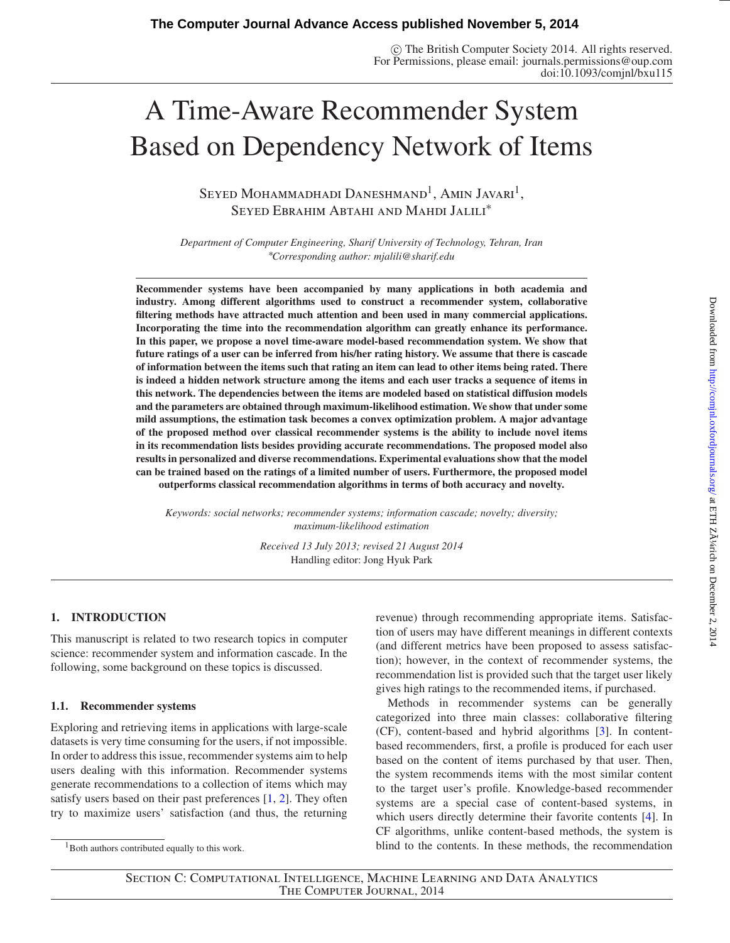© The British Computer Society 2014. All rights reserved. For Permissions, please email: journals.permissions@oup.com doi:10.1093/comjnl/bxu115

# A Time-Aware Recommender System Based on Dependency Network of Items

SEYED MOHAMMADHADI DANESHMAND<sup>1</sup>, AMIN JAVARI<sup>1</sup>, Seyed Ebrahim Abtahi and Mahdi Jalili<sup>∗</sup>

*Department of Computer Engineering, Sharif University of Technology, Tehran, Iran* ∗ *Corresponding author: mjalili@sharif.edu*

**Recommender systems have been accompanied by many applications in both academia and industry. Among different algorithms used to construct a recommender system, collaborative filtering methods have attracted much attention and been used in many commercial applications. Incorporating the time into the recommendation algorithm can greatly enhance its performance. In this paper, we propose a novel time-aware model-based recommendation system. We show that future ratings of a user can be inferred from his/her rating history. We assume that there is cascade of information between the items such that rating an item can lead to other items being rated. There is indeed a hidden network structure among the items and each user tracks a sequence of items in this network. The dependencies between the items are modeled based on statistical diffusion models and the parameters are obtained through maximum-likelihood estimation. We show that under some mild assumptions, the estimation task becomes a convex optimization problem. A major advantage of the proposed method over classical recommender systems is the ability to include novel items in its recommendation lists besides providing accurate recommendations. The proposed model also results in personalized and diverse recommendations. Experimental evaluations show that the model can be trained based on the ratings of a limited number of users. Furthermore, the proposed model outperforms classical recommendation algorithms in terms of both accuracy and novelty.**

*Keywords: social networks; recommender systems; information cascade; novelty; diversity; maximum-likelihood estimation*

> *Received 13 July 2013; revised 21 August 2014* Handling editor: Jong Hyuk Park

# **1. INTRODUCTION**

This manuscript is related to two research topics in computer science: recommender system and information cascade. In the following, some background on these topics is discussed.

# **1.1. Recommender systems**

Exploring and retrieving items in applications with large-scale datasets is very time consuming for the users, if not impossible. In order to address this issue, recommender systems aim to help users dealing with this information. Recommender systems generate recommendations to a collection of items which may satisfy users based on their past preferences [\[1](#page-10-0), [2](#page-10-1)]. They often try to maximize users' satisfaction (and thus, the returning

 $1$ Both authors contributed equally to this work.

revenue) through recommending appropriate items. Satisfaction of users may have different meanings in different contexts (and different metrics have been proposed to assess satisfaction); however, in the context of recommender systems, the recommendation list is provided such that the target user likely gives high ratings to the recommended items, if purchased.

Methods in recommender systems can be generally categorized into three main classes: collaborative filtering (CF), content-based and hybrid algorithms [\[3\]](#page-10-2). In contentbased recommenders, first, a profile is produced for each user based on the content of items purchased by that user. Then, the system recommends items with the most similar content to the target user's profile. Knowledge-based recommender systems are a special case of content-based systems, in which users directly determine their favorite contents [\[4\]](#page-10-3). In CF algorithms, unlike content-based methods, the system is blind to the contents. In these methods, the recommendation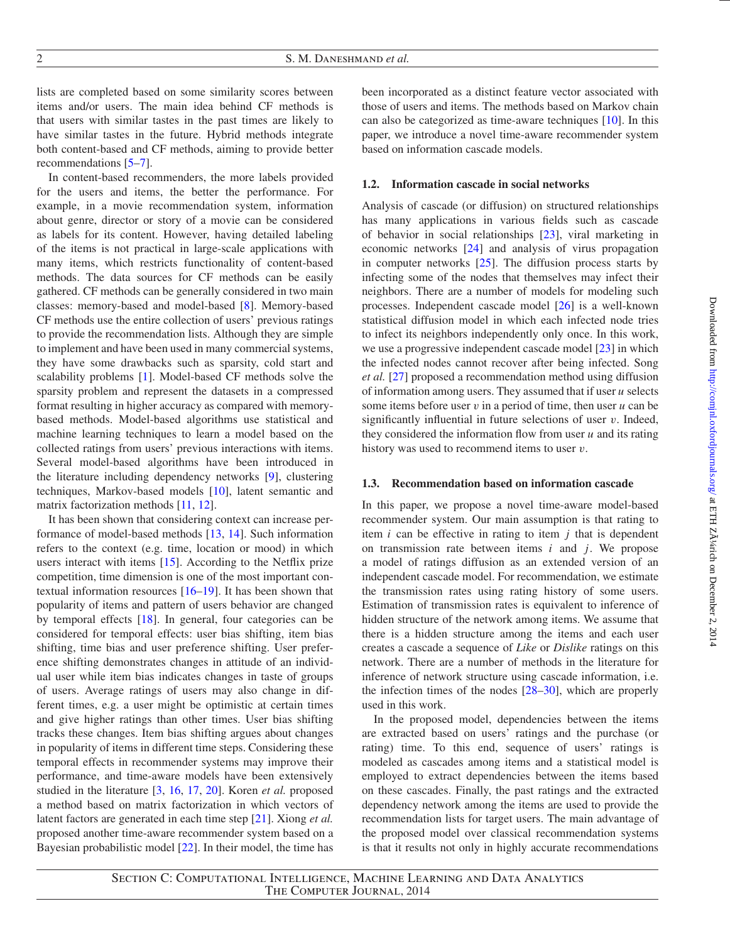lists are completed based on some similarity scores between items and/or users. The main idea behind CF methods is that users with similar tastes in the past times are likely to have similar tastes in the future. Hybrid methods integrate both content-based and CF methods, aiming to provide better recommendations [\[5](#page-10-4)[–7](#page-10-5)].

In content-based recommenders, the more labels provided for the users and items, the better the performance. For example, in a movie recommendation system, information about genre, director or story of a movie can be considered as labels for its content. However, having detailed labeling of the items is not practical in large-scale applications with many items, which restricts functionality of content-based methods. The data sources for CF methods can be easily gathered. CF methods can be generally considered in two main classes: memory-based and model-based [\[8\]](#page-10-6). Memory-based CF methods use the entire collection of users' previous ratings to provide the recommendation lists. Although they are simple to implement and have been used in many commercial systems, they have some drawbacks such as sparsity, cold start and scalability problems [\[1](#page-10-0)]. Model-based CF methods solve the sparsity problem and represent the datasets in a compressed format resulting in higher accuracy as compared with memorybased methods. Model-based algorithms use statistical and machine learning techniques to learn a model based on the collected ratings from users' previous interactions with items. Several model-based algorithms have been introduced in the literature including dependency networks [\[9](#page-10-7)], clustering techniques, Markov-based models [\[10\]](#page-10-8), latent semantic and matrix factorization methods [\[11](#page-10-9), [12](#page-10-10)].

It has been shown that considering context can increase performance of model-based methods [\[13](#page-10-11), [14](#page-10-12)]. Such information refers to the context (e.g. time, location or mood) in which users interact with items [\[15](#page-10-13)]. According to the Netflix prize competition, time dimension is one of the most important contextual information resources [\[16](#page-10-14)[–19\]](#page-11-0). It has been shown that popularity of items and pattern of users behavior are changed by temporal effects [\[18](#page-11-1)]. In general, four categories can be considered for temporal effects: user bias shifting, item bias shifting, time bias and user preference shifting. User preference shifting demonstrates changes in attitude of an individual user while item bias indicates changes in taste of groups of users. Average ratings of users may also change in different times, e.g. a user might be optimistic at certain times and give higher ratings than other times. User bias shifting tracks these changes. Item bias shifting argues about changes in popularity of items in different time steps. Considering these temporal effects in recommender systems may improve their performance, and time-aware models have been extensively studied in the literature [\[3](#page-10-2), [16,](#page-10-14) [17](#page-11-2), [20\]](#page-11-3). Koren *et al.* proposed a method based on matrix factorization in which vectors of latent factors are generated in each time step [\[21](#page-11-4)]. Xiong *et al.* proposed another time-aware recommender system based on a Bayesian probabilistic model [\[22](#page-11-5)]. In their model, the time has

been incorporated as a distinct feature vector associated with those of users and items. The methods based on Markov chain can also be categorized as time-aware techniques [\[10](#page-10-8)]. In this paper, we introduce a novel time-aware recommender system based on information cascade models.

#### **1.2. Information cascade in social networks**

Analysis of cascade (or diffusion) on structured relationships has many applications in various fields such as cascade of behavior in social relationships [\[23](#page-11-6)], viral marketing in economic networks [\[24](#page-11-7)] and analysis of virus propagation in computer networks  $[25]$  $[25]$ . The diffusion process starts by infecting some of the nodes that themselves may infect their neighbors. There are a number of models for modeling such processes. Independent cascade model [\[26\]](#page-11-9) is a well-known statistical diffusion model in which each infected node tries to infect its neighbors independently only once. In this work, we use a progressive independent cascade model [\[23\]](#page-11-6) in which the infected nodes cannot recover after being infected. Song *et al.* [\[27](#page-11-10)] proposed a recommendation method using diffusion of information among users. They assumed that if user *u* selects some items before user  $v$  in a period of time, then user  $u$  can be significantly influential in future selections of user  $v$ . Indeed, they considered the information flow from user *u* and its rating history was used to recommend items to user  $v$ .

#### **1.3. Recommendation based on information cascade**

In this paper, we propose a novel time-aware model-based recommender system. Our main assumption is that rating to item *i* can be effective in rating to item *j* that is dependent on transmission rate between items *i* and *j*. We propose a model of ratings diffusion as an extended version of an independent cascade model. For recommendation, we estimate the transmission rates using rating history of some users. Estimation of transmission rates is equivalent to inference of hidden structure of the network among items. We assume that there is a hidden structure among the items and each user creates a cascade a sequence of *Like* or *Dislike* ratings on this network. There are a number of methods in the literature for inference of network structure using cascade information, i.e. the infection times of the nodes [\[28](#page-11-11)[–30](#page-11-12)], which are properly used in this work.

In the proposed model, dependencies between the items are extracted based on users' ratings and the purchase (or rating) time. To this end, sequence of users' ratings is modeled as cascades among items and a statistical model is employed to extract dependencies between the items based on these cascades. Finally, the past ratings and the extracted dependency network among the items are used to provide the recommendation lists for target users. The main advantage of the proposed model over classical recommendation systems is that it results not only in highly accurate recommendations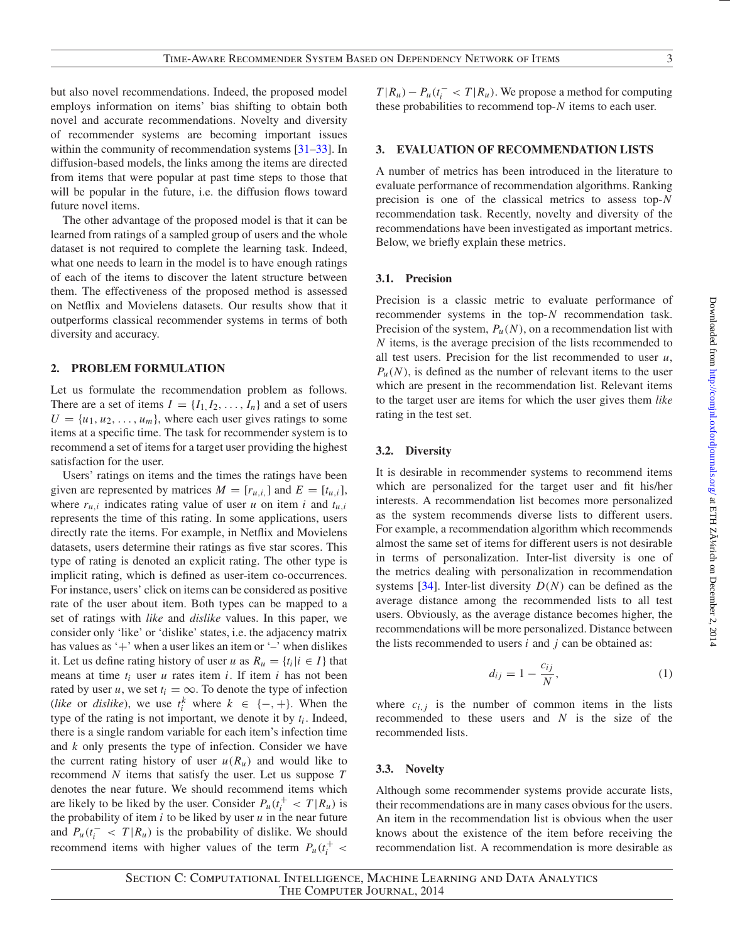but also novel recommendations. Indeed, the proposed model employs information on items' bias shifting to obtain both novel and accurate recommendations. Novelty and diversity of recommender systems are becoming important issues within the community of recommendation systems [\[31](#page-11-13)[–33](#page-11-14)]. In diffusion-based models, the links among the items are directed from items that were popular at past time steps to those that will be popular in the future, i.e. the diffusion flows toward future novel items.

The other advantage of the proposed model is that it can be learned from ratings of a sampled group of users and the whole dataset is not required to complete the learning task. Indeed, what one needs to learn in the model is to have enough ratings of each of the items to discover the latent structure between them. The effectiveness of the proposed method is assessed on Netflix and Movielens datasets. Our results show that it outperforms classical recommender systems in terms of both diversity and accuracy.

#### **2. PROBLEM FORMULATION**

Let us formulate the recommendation problem as follows. There are a set of items  $I = \{I_1, I_2, \ldots, I_n\}$  and a set of users  $U = \{u_1, u_2, \ldots, u_m\}$ , where each user gives ratings to some items at a specific time. The task for recommender system is to recommend a set of items for a target user providing the highest satisfaction for the user.

Users' ratings on items and the times the ratings have been given are represented by matrices  $M = [r_{u,i}]$  and  $E = [t_{u,i}]$ , where  $r_{u,i}$  indicates rating value of user *u* on item *i* and  $t_{u,i}$ represents the time of this rating. In some applications, users directly rate the items. For example, in Netflix and Movielens datasets, users determine their ratings as five star scores. This type of rating is denoted an explicit rating. The other type is implicit rating, which is defined as user-item co-occurrences. For instance, users' click on items can be considered as positive rate of the user about item. Both types can be mapped to a set of ratings with *like* and *dislike* values. In this paper, we consider only 'like' or 'dislike' states, i.e. the adjacency matrix has values as  $+$  when a user likes an item or  $-$  when dislikes it. Let us define rating history of user *u* as  $R_u = \{t_i | i \in I\}$  that means at time *ti* user *u* rates item *i*. If item *i* has not been rated by user *u*, we set  $t_i = \infty$ . To denote the type of infection (*like* or *dislike*), we use  $t_i^k$  where  $k \in \{-, +\}$ . When the type of the rating is not important, we denote it by  $t_i$ . Indeed, there is a single random variable for each item's infection time and *k* only presents the type of infection. Consider we have the current rating history of user  $u(R_u)$  and would like to recommend *N* items that satisfy the user. Let us suppose *T* denotes the near future. We should recommend items which are likely to be liked by the user. Consider  $P_u(t_i^+ < T | R_u)$  is the probability of item  $i$  to be liked by user  $u$  in the near future and  $P_u(t_i^- < T | R_u)$  is the probability of dislike. We should recommend items with higher values of the term  $P_u(t_i^+$  <

 $T | R_u$ ) −  $P_u(t_i^- < T | R_u)$ . We propose a method for computing these probabilities to recommend top-*N* items to each user.

#### **3. EVALUATION OF RECOMMENDATION LISTS**

A number of metrics has been introduced in the literature to evaluate performance of recommendation algorithms. Ranking precision is one of the classical metrics to assess top-*N* recommendation task. Recently, novelty and diversity of the recommendations have been investigated as important metrics. Below, we briefly explain these metrics.

#### **3.1. Precision**

Precision is a classic metric to evaluate performance of recommender systems in the top-*N* recommendation task. Precision of the system,  $P_u(N)$ , on a recommendation list with *N* items, is the average precision of the lists recommended to all test users. Precision for the list recommended to user *u*,  $P_u(N)$ , is defined as the number of relevant items to the user which are present in the recommendation list. Relevant items to the target user are items for which the user gives them *like* rating in the test set.

#### **3.2. Diversity**

It is desirable in recommender systems to recommend items which are personalized for the target user and fit his/her interests. A recommendation list becomes more personalized as the system recommends diverse lists to different users. For example, a recommendation algorithm which recommends almost the same set of items for different users is not desirable in terms of personalization. Inter-list diversity is one of the metrics dealing with personalization in recommendation systems [\[34\]](#page-11-15). Inter-list diversity *D*(*N*) can be defined as the average distance among the recommended lists to all test users. Obviously, as the average distance becomes higher, the recommendations will be more personalized. Distance between the lists recommended to users *i* and *j* can be obtained as:

$$
d_{ij} = 1 - \frac{c_{ij}}{N},\tag{1}
$$

where  $c_{i,j}$  is the number of common items in the lists recommended to these users and *N* is the size of the recommended lists.

#### **3.3. Novelty**

Although some recommender systems provide accurate lists, their recommendations are in many cases obvious for the users. An item in the recommendation list is obvious when the user knows about the existence of the item before receiving the recommendation list. A recommendation is more desirable as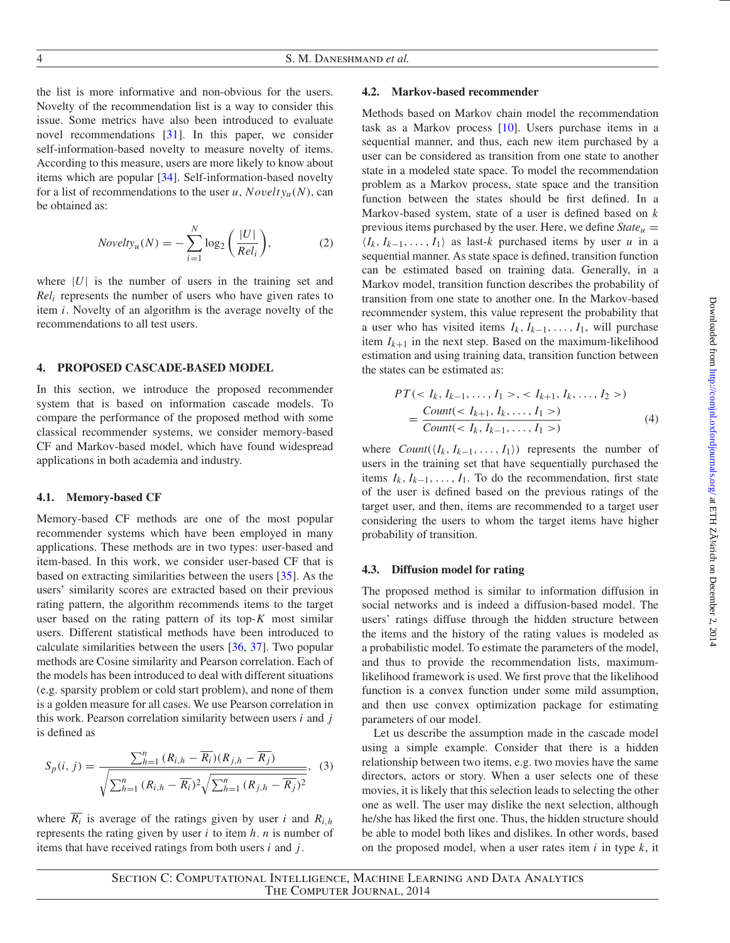the list is more informative and non-obvious for the users. Novelty of the recommendation list is a way to consider this issue. Some metrics have also been introduced to evaluate novel recommendations [\[31\]](#page-11-13). In this paper, we consider self-information-based novelty to measure novelty of items. According to this measure, users are more likely to know about items which are popular [\[34](#page-11-15)]. Self-information-based novelty for a list of recommendations to the user *u*, *Novelty<sub>u</sub>*(*N*), can be obtained as:

$$
Novelty_u(N) = -\sum_{i=1}^{N} \log_2\left(\frac{|U|}{Rel_i}\right),\tag{2}
$$

where  $|U|$  is the number of users in the training set and *Reli* represents the number of users who have given rates to item *i*. Novelty of an algorithm is the average novelty of the recommendations to all test users.

#### **4. PROPOSED CASCADE-BASED MODEL**

In this section, we introduce the proposed recommender system that is based on information cascade models. To compare the performance of the proposed method with some classical recommender systems, we consider memory-based CF and Markov-based model, which have found widespread applications in both academia and industry.

#### **4.1. Memory-based CF**

Memory-based CF methods are one of the most popular recommender systems which have been employed in many applications. These methods are in two types: user-based and item-based. In this work, we consider user-based CF that is based on extracting similarities between the users [\[35](#page-11-16)]. As the users' similarity scores are extracted based on their previous rating pattern, the algorithm recommends items to the target user based on the rating pattern of its top-*K* most similar users. Different statistical methods have been introduced to calculate similarities between the users [\[36,](#page-11-17) [37\]](#page-11-18). Two popular methods are Cosine similarity and Pearson correlation. Each of the models has been introduced to deal with different situations (e.g. sparsity problem or cold start problem), and none of them is a golden measure for all cases. We use Pearson correlation in this work. Pearson correlation similarity between users *i* and *j* is defined as

$$
S_p(i, j) = \frac{\sum_{h=1}^{n} (R_{i,h} - \overline{R_i})(R_{j,h} - \overline{R_j})}{\sqrt{\sum_{h=1}^{n} (R_{i,h} - \overline{R_i})^2} \sqrt{\sum_{h=1}^{n} (R_{j,h} - \overline{R_j})^2}},
$$
(3)

where  $\overline{R_i}$  is average of the ratings given by user *i* and  $R_{i,h}$ represents the rating given by user *i* to item *h*. *n* is number of items that have received ratings from both users *i* and *j*.

## **4.2. Markov-based recommender**

Methods based on Markov chain model the recommendation task as a Markov process [\[10](#page-10-8)]. Users purchase items in a sequential manner, and thus, each new item purchased by a user can be considered as transition from one state to another state in a modeled state space. To model the recommendation problem as a Markov process, state space and the transition function between the states should be first defined. In a Markov-based system, state of a user is defined based on *k* previous items purchased by the user. Here, we define  $State_u$  =  $\langle I_k, I_{k-1}, \ldots, I_1 \rangle$  as last-*k* purchased items by user *u* in a sequential manner. As state space is defined, transition function can be estimated based on training data. Generally, in a Markov model, transition function describes the probability of transition from one state to another one. In the Markov-based recommender system, this value represent the probability that a user who has visited items  $I_k$ ,  $I_{k-1}$ , ...,  $I_1$ , will purchase item  $I_{k+1}$  in the next step. Based on the maximum-likelihood estimation and using training data, transition function between the states can be estimated as:

$$
PT(, )
$$
  
= 
$$
\frac{Count()}{Count()}
$$
 (4)

where  $Count(\langle I_k, I_{k-1}, \ldots, I_1 \rangle)$  represents the number of users in the training set that have sequentially purchased the items  $I_k$ ,  $I_{k-1}$ , ...,  $I_1$ . To do the recommendation, first state of the user is defined based on the previous ratings of the target user, and then, items are recommended to a target user considering the users to whom the target items have higher probability of transition.

#### **4.3. Diffusion model for rating**

The proposed method is similar to information diffusion in social networks and is indeed a diffusion-based model. The users' ratings diffuse through the hidden structure between the items and the history of the rating values is modeled as a probabilistic model. To estimate the parameters of the model, and thus to provide the recommendation lists, maximumlikelihood framework is used. We first prove that the likelihood function is a convex function under some mild assumption, and then use convex optimization package for estimating parameters of our model.

Let us describe the assumption made in the cascade model using a simple example. Consider that there is a hidden relationship between two items, e.g. two movies have the same directors, actors or story. When a user selects one of these movies, it is likely that this selection leads to selecting the other one as well. The user may dislike the next selection, although he/she has liked the first one. Thus, the hidden structure should be able to model both likes and dislikes. In other words, based on the proposed model, when a user rates item *i* in type *k*, it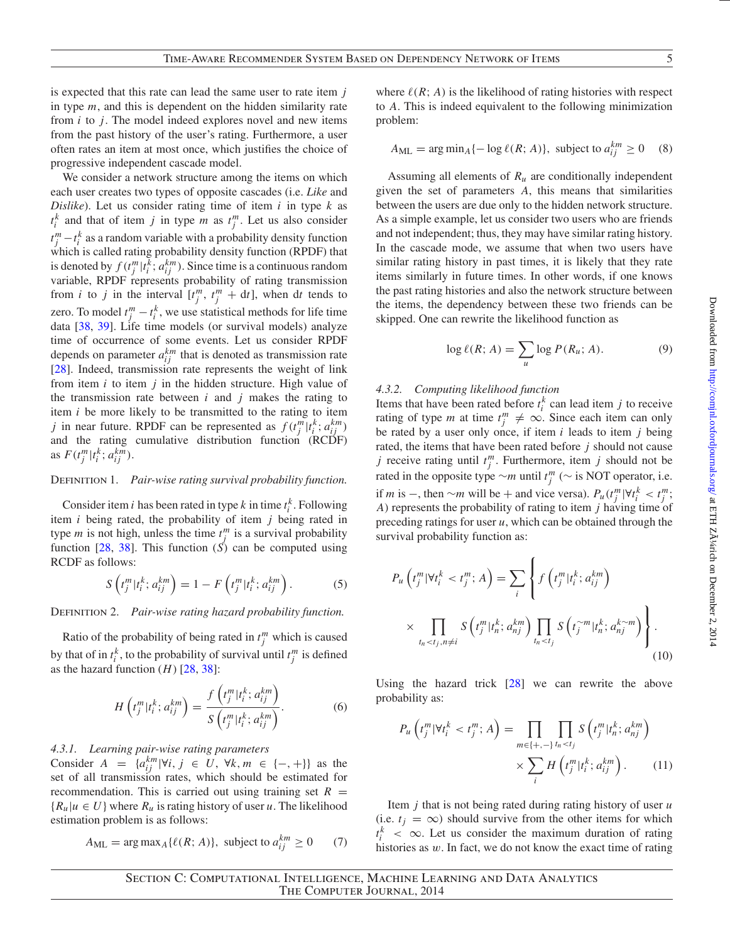is expected that this rate can lead the same user to rate item *j* in type *m*, and this is dependent on the hidden similarity rate from *i* to *j*. The model indeed explores novel and new items from the past history of the user's rating. Furthermore, a user often rates an item at most once, which justifies the choice of progressive independent cascade model.

We consider a network structure among the items on which each user creates two types of opposite cascades (i.e. *Like* and *Dislike*). Let us consider rating time of item *i* in type *k* as  $t_i^k$  and that of item *j* in type *m* as  $t_j^m$ . Let us also consider  $t_j^m - t_i^k$  as a random variable with a probability density function which is called rating probability density function (RPDF) that is denoted by  $f(t_j^m | t_i^k; a_{ij}^{km})$ . Since time is a continuous random variable, RPDF represents probability of rating transmission from *i* to *j* in the interval  $[t_j^m, t_j^m + dt]$ , when dt tends to zero. To model  $t_j^m - t_i^k$ , we use statistical methods for life time data [\[38,](#page-11-19) [39\]](#page-11-20). Life time models (or survival models) analyze time of occurrence of some events. Let us consider RPDF depends on parameter  $a_{ij}^{km}$  that is denoted as transmission rate [\[28\]](#page-11-11). Indeed, transmission rate represents the weight of link from item *i* to item *j* in the hidden structure. High value of the transmission rate between  $i$  and  $j$  makes the rating to item *i* be more likely to be transmitted to the rating to item *j* in near future. RPDF can be represented as  $f(t_j^m | t_i^k; a_{ij}^{km})$ and the rating cumulative distribution function (RCDF) as  $F(t_j^m | t_i^k; a_{ij}^{km})$ .

## Definition 1. *Pair-wise rating survival probability function.*

Consider item *i* has been rated in type *k* in time  $t_i^k$ . Following item *i* being rated, the probability of item *j* being rated in type *m* is not high, unless the time  $t_j^m$  is a survival probability function  $[28, 38]$  $[28, 38]$  $[28, 38]$ . This function  $(S)$  can be computed using RCDF as follows:

$$
S\left(t_j^m|t_i^k; a_{ij}^{km}\right) = 1 - F\left(t_j^m|t_i^k; a_{ij}^{km}\right). \tag{5}
$$

DEFINITION 2. *Pair-wise rating hazard probability function.* 

Ratio of the probability of being rated in  $t_j^m$  which is caused by that of in  $t_i^k$ , to the probability of survival until  $t_j^m$  is defined as the hazard function  $(H)$  [\[28](#page-11-11), [38](#page-11-19)]:

$$
H\left(t_j^m | t_i^k; a_{ij}^{km}\right) = \frac{f\left(t_j^m | t_i^k; a_{ij}^{km}\right)}{S\left(t_j^m | t_i^k; a_{ij}^{km}\right)}.
$$
 (6)

*4.3.1. Learning pair-wise rating parameters*

Consider  $A = \{a_{ij}^{km} | \forall i, j \in U, \forall k, m \in \{-, +\}\}\$ as the set of all transmission rates, which should be estimated for recommendation. This is carried out using training set  $R =$  ${R_u | u \in U}$  where  $R_u$  is rating history of user *u*. The likelihood estimation problem is as follows:

$$
A_{\rm ML} = \arg \max_{A} \{ \ell(R; A) \}, \text{ subject to } a_{ij}^{km} \ge 0 \qquad (7)
$$

where  $\ell(R; A)$  is the likelihood of rating histories with respect to *A*. This is indeed equivalent to the following minimization problem:

$$
A_{\rm ML} = \arg\min_{A} \{-\log \ell(R; A)\}, \text{ subject to } a_{ij}^{km} \ge 0 \quad (8)
$$

Assuming all elements of  $R_u$  are conditionally independent given the set of parameters *A*, this means that similarities between the users are due only to the hidden network structure. As a simple example, let us consider two users who are friends and not independent; thus, they may have similar rating history. In the cascade mode, we assume that when two users have similar rating history in past times, it is likely that they rate items similarly in future times. In other words, if one knows the past rating histories and also the network structure between the items, the dependency between these two friends can be skipped. One can rewrite the likelihood function as

<span id="page-4-1"></span>
$$
\log \ell(R; A) = \sum_{u} \log P(R_u; A). \tag{9}
$$

#### *4.3.2. Computing likelihood function*

Items that have been rated before  $t_i^k$  can lead item *j* to receive rating of type *m* at time  $t_j^m \neq \infty$ . Since each item can only be rated by a user only once, if item *i* leads to item *j* being rated, the items that have been rated before *j* should not cause *j* receive rating until  $t_j^m$ . Furthermore, item *j* should not be rated in the opposite type ∼*m* until  $t_j^m$  (∼ is NOT operator, i.e. if *m* is −, then ∼*m* will be + and vice versa).  $P_u(t_j^m | \forall t_i^k < t_j^m$ ; *A*) represents the probability of rating to item *j* having time of preceding ratings for user *u*, which can be obtained through the survival probability function as:

$$
P_u\left(t_j^m|\forall t_i^k < t_j^m; A\right) = \sum_i \left\{ f\left(t_j^m|t_i^k; a_{ij}^{km}\right) \times \prod_{t_n < t_j, n \neq i} S\left(t_j^m|t_n^k; a_{nj}^{km}\right) \prod_{t_n < t_j} S\left(t_j^{\n
$$
(10)
$$
$$

Using the hazard trick [\[28](#page-11-11)] we can rewrite the above probability as:

<span id="page-4-0"></span>
$$
P_u\left(t_j^m|\forall t_i^k < t_j^m; A\right) = \prod_{m \in \{+, -\} } \prod_{t_n < t_j} S\left(t_j^m|t_n^k; a_{nj}^{km}\right) \times \sum_i H\left(t_j^m|t_i^k; a_{ij}^{km}\right). \tag{11}
$$

Item *j* that is not being rated during rating history of user *u* (i.e.  $t_j = \infty$ ) should survive from the other items for which  $t_i^k$  <  $\infty$ . Let us consider the maximum duration of rating histories as w. In fact, we do not know the exact time of rating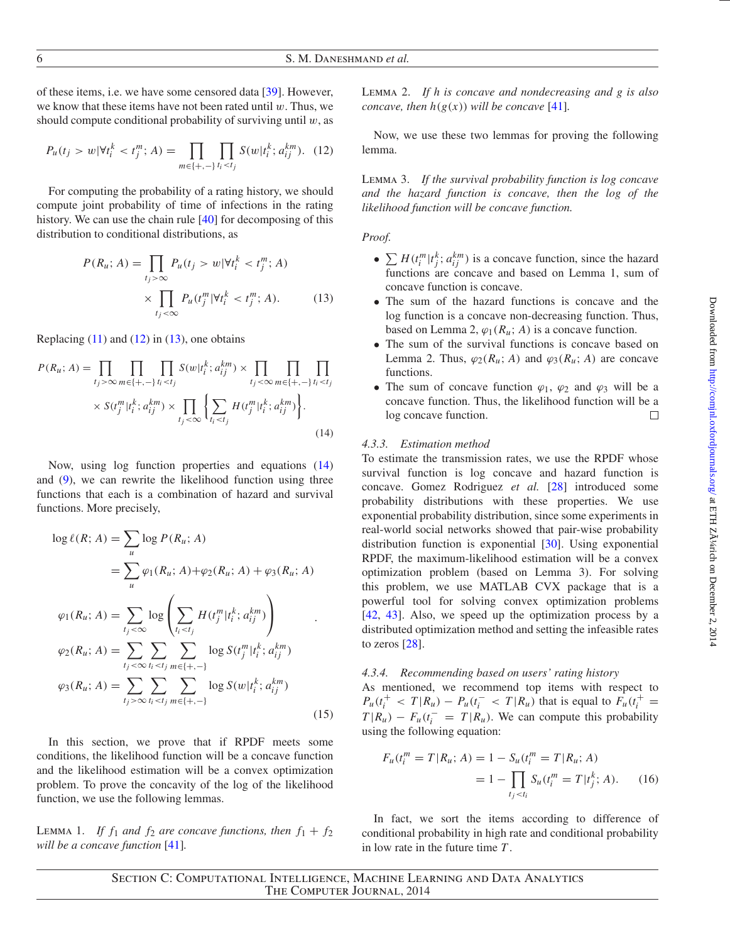of these items, i.e. we have some censored data [\[39](#page-11-20)]. However, we know that these items have not been rated until  $w$ . Thus, we should compute conditional probability of surviving until  $w$ , as

<span id="page-5-0"></span>
$$
P_u(t_j > w | \forall t_i^k < t_j^m; A) = \prod_{m \in \{+, -\}} \prod_{i_i < t_j} S(w | t_i^k; a_{ij}^{km}). \tag{12}
$$

For computing the probability of a rating history, we should compute joint probability of time of infections in the rating history. We can use the chain rule [\[40\]](#page-11-21) for decomposing of this distribution to conditional distributions, as

$$
P(R_u; A) = \prod_{t_j > \infty} P_u(t_j > w | \forall t_i^k < t_j^m; A)
$$
\n
$$
\times \prod_{t_j < \infty} P_u(t_j^m | \forall t_i^k < t_j^m; A). \tag{13}
$$

Replacing  $(11)$  and  $(12)$  in  $(13)$ , one obtains

$$
P(R_{u}; A) = \prod_{t_{j} > \infty} \prod_{m \in \{+, -\} } \prod_{t_{i} < t_{j}} S(w | t_{i}^{k}; a_{ij}^{km}) \times \prod_{t_{j} < \infty} \prod_{m \in \{+, -\} } \prod_{t_{i} < t_{j}} \times S(t_{j}^{m} | t_{i}^{k}; a_{ij}^{km}) \times \prod_{t_{j} < \infty} \left\{ \sum_{t_{i} < t_{j}} H(t_{j}^{m} | t_{i}^{k}; a_{ij}^{km}) \right\}.
$$
\n
$$
(14)
$$

Now, using log function properties and equations [\(14\)](#page-5-2) and [\(9\)](#page-4-1), we can rewrite the likelihood function using three functions that each is a combination of hazard and survival functions. More precisely,

$$
\log \ell(R; A) = \sum_{u} \log P(R_{u}; A)
$$
  
\n
$$
= \sum_{u} \varphi_{1}(R_{u}; A) + \varphi_{2}(R_{u}; A) + \varphi_{3}(R_{u}; A)
$$
  
\n
$$
\varphi_{1}(R_{u}; A) = \sum_{t_{j} < \infty} \log \left( \sum_{t_{i} < t_{j}} H(t_{j}^{m}|t_{i}^{k}; a_{ij}^{km}) \right)
$$
  
\n
$$
\varphi_{2}(R_{u}; A) = \sum_{t_{j} < \infty} \sum_{t_{i} < t_{j}} \sum_{m \in \{+, -\}} \log S(t_{j}^{m}|t_{i}^{k}; a_{ij}^{km})
$$
  
\n
$$
\varphi_{3}(R_{u}; A) = \sum_{t_{j} > \infty} \sum_{t_{i} < t_{j}} \sum_{m \in \{+, -\}} \log S(w|t_{i}^{k}; a_{ij}^{km})
$$
\n(15)

In this section, we prove that if RPDF meets some conditions, the likelihood function will be a concave function and the likelihood estimation will be a convex optimization problem. To prove the concavity of the log of the likelihood function, we use the following lemmas.

LEMMA 1. *If*  $f_1$  *and*  $f_2$  *are concave functions, then*  $f_1 + f_2$ *will be a concave function* [\[41](#page-11-22)]*.*

Lemma 2. *If h is concave and nondecreasing and g is also concave, then*  $h(g(x))$  *will be concave* [\[41\]](#page-11-22)*.* 

Now, we use these two lemmas for proving the following lemma.

Lemma 3. *If the survival probability function is log concave and the hazard function is concave, then the log of the likelihood function will be concave function.*

*Proof.*

- $\sum H(t_i^m | t_j^k; a_{ij}^{km})$  is a concave function, since the hazard functions are concave and based on Lemma 1, sum of concave function is concave.
- <span id="page-5-1"></span>• The sum of the hazard functions is concave and the log function is a concave non-decreasing function. Thus, based on Lemma 2,  $\varphi_1(R_u; A)$  is a concave function.
- The sum of the survival functions is concave based on Lemma 2. Thus,  $\varphi_2(R_u; A)$  and  $\varphi_3(R_u; A)$  are concave functions.
- The sum of concave function  $\varphi_1$ ,  $\varphi_2$  and  $\varphi_3$  will be a concave function. Thus, the likelihood function will be a log concave function.  $\Box$

## <span id="page-5-2"></span>*4.3.3. Estimation method*

To estimate the transmission rates, we use the RPDF whose survival function is log concave and hazard function is concave. Gomez Rodriguez *et al.* [\[28\]](#page-11-11) introduced some probability distributions with these properties. We use exponential probability distribution, since some experiments in real-world social networks showed that pair-wise probability distribution function is exponential [\[30\]](#page-11-12). Using exponential RPDF, the maximum-likelihood estimation will be a convex optimization problem (based on Lemma 3). For solving this problem, we use MATLAB CVX package that is a powerful tool for solving convex optimization problems [\[42,](#page-11-23) [43\]](#page-11-24). Also, we speed up the optimization process by a distributed optimization method and setting the infeasible rates to zeros [\[28\]](#page-11-11).

#### *4.3.4. Recommending based on users' rating history*

As mentioned, we recommend top items with respect to  $P_u(t_i^+ < T | R_u) - P_u(t_i^- < T | R_u)$  that is equal to  $F_u(t_i^+ = T | R_u)$  $T | R_u$ ) −  $F_u(t_i^- = T | R_u)$ . We can compute this probability using the following equation:

$$
F_u(t_i^m = T | R_u; A) = 1 - S_u(t_i^m = T | R_u; A)
$$
  
= 1 - 
$$
\prod_{t_j < t_i} S_u(t_i^m = T | t_j^k; A). \tag{16}
$$

In fact, we sort the items according to difference of conditional probability in high rate and conditional probability in low rate in the future time *T* .

Section C: Computational Intelligence, Machine Learning and Data Analytics The Computer Journal, 2014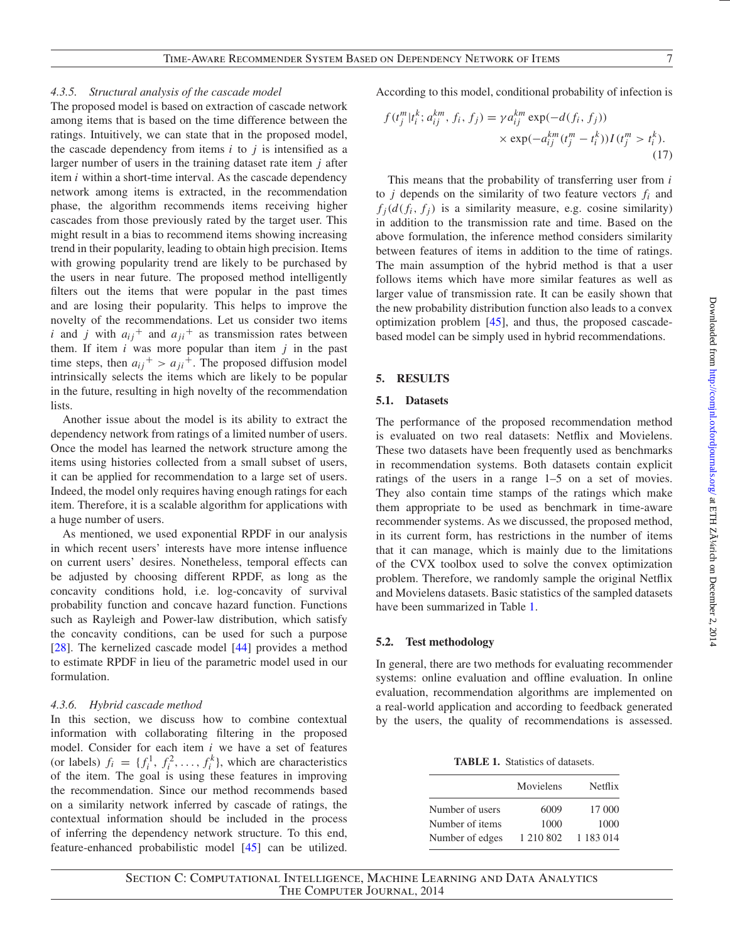## *4.3.5. Structural analysis of the cascade model*

The proposed model is based on extraction of cascade network among items that is based on the time difference between the ratings. Intuitively, we can state that in the proposed model, the cascade dependency from items  $i$  to  $j$  is intensified as a larger number of users in the training dataset rate item *j* after item *i* within a short-time interval. As the cascade dependency network among items is extracted, in the recommendation phase, the algorithm recommends items receiving higher cascades from those previously rated by the target user. This might result in a bias to recommend items showing increasing trend in their popularity, leading to obtain high precision. Items with growing popularity trend are likely to be purchased by the users in near future. The proposed method intelligently filters out the items that were popular in the past times and are losing their popularity. This helps to improve the novelty of the recommendations. Let us consider two items *i* and *j* with  $a_{ij}$ <sup>+</sup> and  $a_{ji}$ <sup>+</sup> as transmission rates between them. If item  $i$  was more popular than item  $j$  in the past time steps, then  $a_{ij}^+ > a_{ji}^+$ . The proposed diffusion model intrinsically selects the items which are likely to be popular in the future, resulting in high novelty of the recommendation lists.

Another issue about the model is its ability to extract the dependency network from ratings of a limited number of users. Once the model has learned the network structure among the items using histories collected from a small subset of users, it can be applied for recommendation to a large set of users. Indeed, the model only requires having enough ratings for each item. Therefore, it is a scalable algorithm for applications with a huge number of users.

As mentioned, we used exponential RPDF in our analysis in which recent users' interests have more intense influence on current users' desires. Nonetheless, temporal effects can be adjusted by choosing different RPDF, as long as the concavity conditions hold, i.e. log-concavity of survival probability function and concave hazard function. Functions such as Rayleigh and Power-law distribution, which satisfy the concavity conditions, can be used for such a purpose [\[28\]](#page-11-11). The kernelized cascade model [\[44\]](#page-11-25) provides a method to estimate RPDF in lieu of the parametric model used in our formulation.

# *4.3.6. Hybrid cascade method*

In this section, we discuss how to combine contextual information with collaborating filtering in the proposed model. Consider for each item *i* we have a set of features (or labels)  $f_i = \{f_i^1, f_i^2, \dots, f_i^k\}$ , which are characteristics of the item. The goal is using these features in improving the recommendation. Since our method recommends based on a similarity network inferred by cascade of ratings, the contextual information should be included in the process of inferring the dependency network structure. To this end, feature-enhanced probabilistic model [\[45\]](#page-11-26) can be utilized. According to this model, conditional probability of infection is

$$
f(t_j^m | t_i^k; a_{ij}^{km}, f_i, f_j) = \gamma a_{ij}^{km} \exp(-d(f_i, f_j))
$$
  
 
$$
\times \exp(-a_{ij}^{km}(t_j^m - t_i^k)) I(t_j^m > t_i^k).
$$
 (17)

This means that the probability of transferring user from *i* to  $j$  depends on the similarity of two feature vectors  $f_i$  and  $f_i(d(f_i, f_j))$  is a similarity measure, e.g. cosine similarity) in addition to the transmission rate and time. Based on the above formulation, the inference method considers similarity between features of items in addition to the time of ratings. The main assumption of the hybrid method is that a user follows items which have more similar features as well as larger value of transmission rate. It can be easily shown that the new probability distribution function also leads to a convex optimization problem [\[45\]](#page-11-26), and thus, the proposed cascadebased model can be simply used in hybrid recommendations.

# **5. RESULTS**

### **5.1. Datasets**

The performance of the proposed recommendation method is evaluated on two real datasets: Netflix and Movielens. These two datasets have been frequently used as benchmarks in recommendation systems. Both datasets contain explicit ratings of the users in a range 1–5 on a set of movies. They also contain time stamps of the ratings which make them appropriate to be used as benchmark in time-aware recommender systems. As we discussed, the proposed method, in its current form, has restrictions in the number of items that it can manage, which is mainly due to the limitations of the CVX toolbox used to solve the convex optimization problem. Therefore, we randomly sample the original Netflix and Movielens datasets. Basic statistics of the sampled datasets have been summarized in Table [1.](#page-6-0)

## **5.2. Test methodology**

In general, there are two methods for evaluating recommender systems: online evaluation and offline evaluation. In online evaluation, recommendation algorithms are implemented on a real-world application and according to feedback generated by the users, the quality of recommendations is assessed.

<span id="page-6-0"></span>**TABLE 1.** Statistics of datasets.

|                 | Movielens | Netflix    |
|-----------------|-----------|------------|
| Number of users | 6009      | 17 000     |
| Number of items | 1000      | 1000       |
| Number of edges | 1 210 802 | 1 183 0 14 |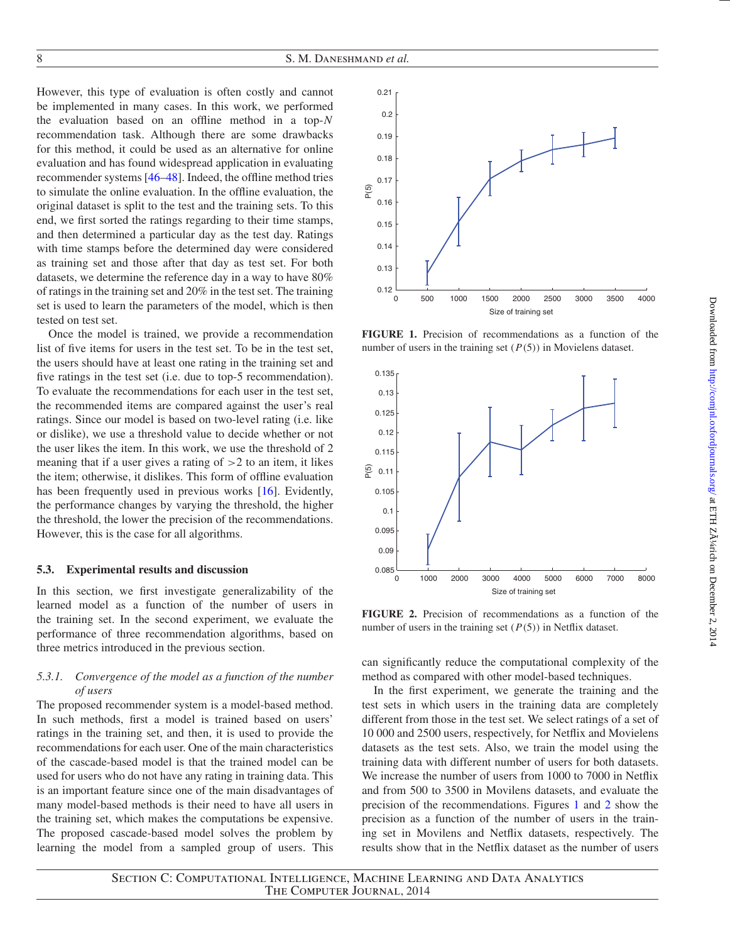However, this type of evaluation is often costly and cannot be implemented in many cases. In this work, we performed the evaluation based on an offline method in a top-*N* recommendation task. Although there are some drawbacks for this method, it could be used as an alternative for online evaluation and has found widespread application in evaluating recommender systems [\[46](#page-11-27)[–48](#page-11-28)]. Indeed, the offline method tries to simulate the online evaluation. In the offline evaluation, the original dataset is split to the test and the training sets. To this end, we first sorted the ratings regarding to their time stamps, and then determined a particular day as the test day. Ratings with time stamps before the determined day were considered as training set and those after that day as test set. For both datasets, we determine the reference day in a way to have 80% of ratings in the training set and 20% in the test set. The training set is used to learn the parameters of the model, which is then tested on test set.

Once the model is trained, we provide a recommendation list of five items for users in the test set. To be in the test set, the users should have at least one rating in the training set and five ratings in the test set (i.e. due to top-5 recommendation). To evaluate the recommendations for each user in the test set, the recommended items are compared against the user's real ratings. Since our model is based on two-level rating (i.e. like or dislike), we use a threshold value to decide whether or not the user likes the item. In this work, we use the threshold of 2 meaning that if a user gives a rating of  $>2$  to an item, it likes the item; otherwise, it dislikes. This form of offline evaluation has been frequently used in previous works [\[16](#page-10-14)]. Evidently, the performance changes by varying the threshold, the higher the threshold, the lower the precision of the recommendations. However, this is the case for all algorithms.

#### **5.3. Experimental results and discussion**

In this section, we first investigate generalizability of the learned model as a function of the number of users in the training set. In the second experiment, we evaluate the performance of three recommendation algorithms, based on three metrics introduced in the previous section.

## *5.3.1. Convergence of the model as a function of the number of users*

The proposed recommender system is a model-based method. In such methods, first a model is trained based on users' ratings in the training set, and then, it is used to provide the recommendations for each user. One of the main characteristics of the cascade-based model is that the trained model can be used for users who do not have any rating in training data. This is an important feature since one of the main disadvantages of many model-based methods is their need to have all users in the training set, which makes the computations be expensive. The proposed cascade-based model solves the problem by learning the model from a sampled group of users. This



<span id="page-7-0"></span>**FIGURE 1.** Precision of recommendations as a function of the number of users in the training set (*P*(5)) in Movielens dataset.



<span id="page-7-1"></span>**FIGURE 2.** Precision of recommendations as a function of the number of users in the training set (*P*(5)) in Netflix dataset.

can significantly reduce the computational complexity of the method as compared with other model-based techniques.

In the first experiment, we generate the training and the test sets in which users in the training data are completely different from those in the test set. We select ratings of a set of 10 000 and 2500 users, respectively, for Netflix and Movielens datasets as the test sets. Also, we train the model using the training data with different number of users for both datasets. We increase the number of users from 1000 to 7000 in Netflix and from 500 to 3500 in Movilens datasets, and evaluate the precision of the recommendations. Figures [1](#page-7-0) and [2](#page-7-1) show the precision as a function of the number of users in the training set in Movilens and Netflix datasets, respectively. The results show that in the Netflix dataset as the number of users

Section C: Computational Intelligence, Machine Learning and Data Analytics The Computer Journal, 2014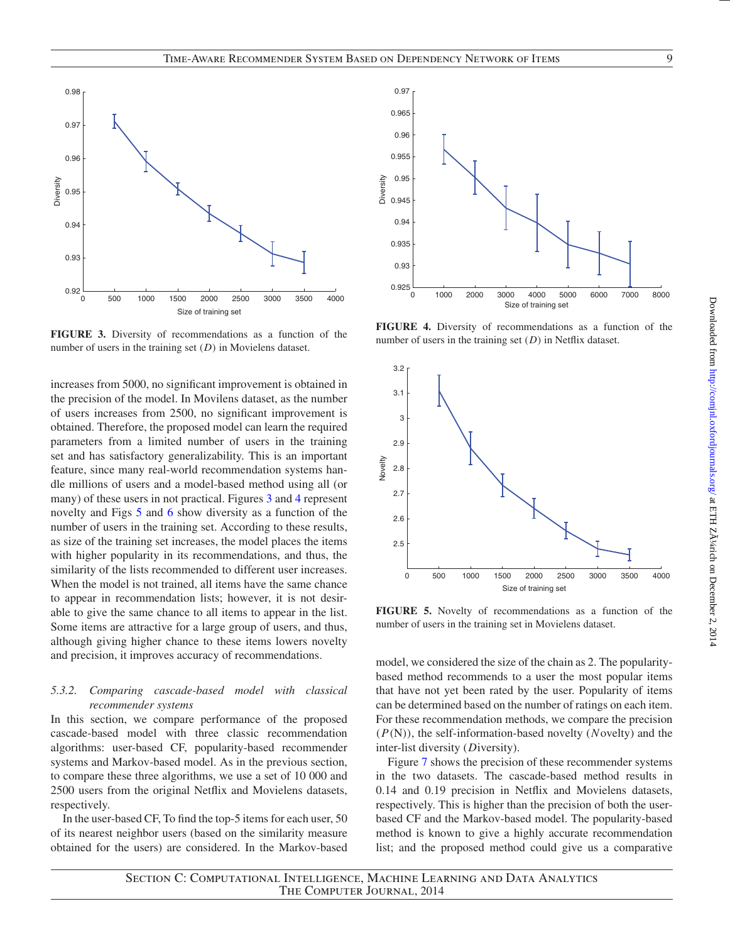

<span id="page-8-0"></span>**FIGURE 3.** Diversity of recommendations as a function of the number of users in the training set (*D*) in Movielens dataset.

increases from 5000, no significant improvement is obtained in the precision of the model. In Movilens dataset, as the number of users increases from 2500, no significant improvement is obtained. Therefore, the proposed model can learn the required parameters from a limited number of users in the training set and has satisfactory generalizability. This is an important feature, since many real-world recommendation systems handle millions of users and a model-based method using all (or many) of these users in not practical. Figures [3](#page-8-0) and [4](#page-8-1) represent novelty and Figs [5](#page-8-2) and [6](#page-9-0) show diversity as a function of the number of users in the training set. According to these results, as size of the training set increases, the model places the items with higher popularity in its recommendations, and thus, the similarity of the lists recommended to different user increases. When the model is not trained, all items have the same chance to appear in recommendation lists; however, it is not desirable to give the same chance to all items to appear in the list. Some items are attractive for a large group of users, and thus, although giving higher chance to these items lowers novelty and precision, it improves accuracy of recommendations.

#### *5.3.2. Comparing cascade-based model with classical recommender systems*

In this section, we compare performance of the proposed cascade-based model with three classic recommendation algorithms: user-based CF, popularity-based recommender systems and Markov-based model. As in the previous section, to compare these three algorithms, we use a set of 10 000 and 2500 users from the original Netflix and Movielens datasets, respectively.

In the user-based CF, To find the top-5 items for each user, 50 of its nearest neighbor users (based on the similarity measure obtained for the users) are considered. In the Markov-based



<span id="page-8-1"></span>**FIGURE 4.** Diversity of recommendations as a function of the number of users in the training set (*D*) in Netflix dataset.



<span id="page-8-2"></span>**FIGURE 5.** Novelty of recommendations as a function of the number of users in the training set in Movielens dataset.

model, we considered the size of the chain as 2. The popularitybased method recommends to a user the most popular items that have not yet been rated by the user. Popularity of items can be determined based on the number of ratings on each item. For these recommendation methods, we compare the precision (*P*(N)), the self-information-based novelty (*N*ovelty) and the inter-list diversity (*D*iversity).

Figure [7](#page-9-1) shows the precision of these recommender systems in the two datasets. The cascade-based method results in 0.14 and 0.19 precision in Netflix and Movielens datasets, respectively. This is higher than the precision of both the userbased CF and the Markov-based model. The popularity-based method is known to give a highly accurate recommendation list; and the proposed method could give us a comparative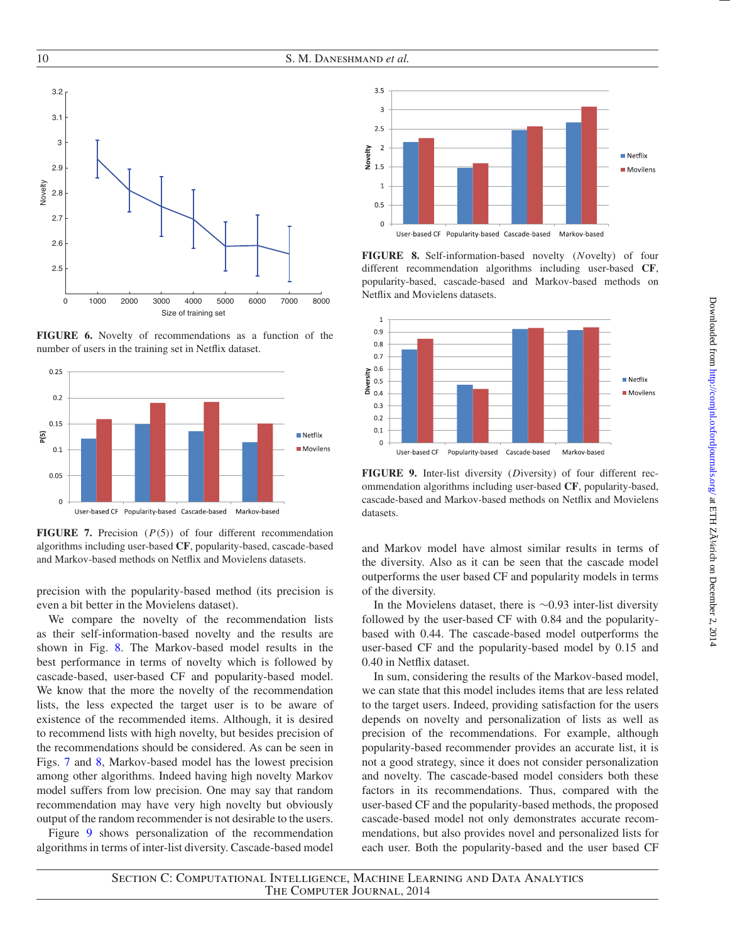

<span id="page-9-0"></span>**FIGURE 6.** Novelty of recommendations as a function of the number of users in the training set in Netflix dataset.



<span id="page-9-1"></span>**FIGURE 7.** Precision (*P*(5)) of four different recommendation algorithms including user-based **CF**, popularity-based, cascade-based and Markov-based methods on Netflix and Movielens datasets.

precision with the popularity-based method (its precision is even a bit better in the Movielens dataset).

We compare the novelty of the recommendation lists as their self-information-based novelty and the results are shown in Fig. [8.](#page-9-2) The Markov-based model results in the best performance in terms of novelty which is followed by cascade-based, user-based CF and popularity-based model. We know that the more the novelty of the recommendation lists, the less expected the target user is to be aware of existence of the recommended items. Although, it is desired to recommend lists with high novelty, but besides precision of the recommendations should be considered. As can be seen in Figs. [7](#page-9-1) and [8,](#page-9-2) Markov-based model has the lowest precision among other algorithms. Indeed having high novelty Markov model suffers from low precision. One may say that random recommendation may have very high novelty but obviously output of the random recommender is not desirable to the users.

Figure [9](#page-9-3) shows personalization of the recommendation algorithms in terms of inter-list diversity. Cascade-based model



<span id="page-9-2"></span>**FIGURE 8.** Self-information-based novelty (*N*ovelty) of four different recommendation algorithms including user-based **CF**, popularity-based, cascade-based and Markov-based methods on Netflix and Movielens datasets.



<span id="page-9-3"></span>**FIGURE 9.** Inter-list diversity (*D*iversity) of four different recommendation algorithms including user-based **CF**, popularity-based, cascade-based and Markov-based methods on Netflix and Movielens datasets.

and Markov model have almost similar results in terms of the diversity. Also as it can be seen that the cascade model outperforms the user based CF and popularity models in terms of the diversity.

In the Movielens dataset, there is ∼0.93 inter-list diversity followed by the user-based CF with 0.84 and the popularitybased with 0.44. The cascade-based model outperforms the user-based CF and the popularity-based model by 0.15 and 0.40 in Netflix dataset.

In sum, considering the results of the Markov-based model, we can state that this model includes items that are less related to the target users. Indeed, providing satisfaction for the users depends on novelty and personalization of lists as well as precision of the recommendations. For example, although popularity-based recommender provides an accurate list, it is not a good strategy, since it does not consider personalization and novelty. The cascade-based model considers both these factors in its recommendations. Thus, compared with the user-based CF and the popularity-based methods, the proposed cascade-based model not only demonstrates accurate recommendations, but also provides novel and personalized lists for each user. Both the popularity-based and the user based CF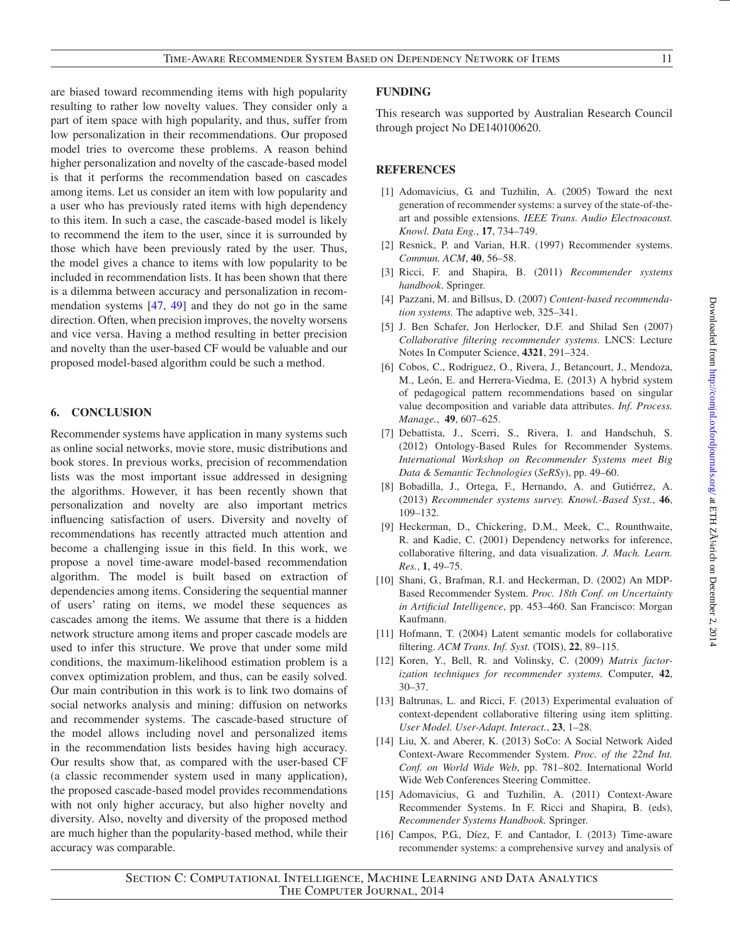are biased toward recommending items with high popularity resulting to rather low novelty values. They consider only a part of item space with high popularity, and thus, suffer from low personalization in their recommendations. Our proposed model tries to overcome these problems. A reason behind higher personalization and novelty of the cascade-based model is that it performs the recommendation based on cascades among items. Let us consider an item with low popularity and a user who has previously rated items with high dependency to this item. In such a case, the cascade-based model is likely to recommend the item to the user, since it is surrounded by those which have been previously rated by the user. Thus, the model gives a chance to items with low popularity to be included in recommendation lists. It has been shown that there is a dilemma between accuracy and personalization in recommendation systems [\[47](#page-11-29), [49](#page-11-30)] and they do not go in the same direction. Often, when precision improves, the novelty worsens and vice versa. Having a method resulting in better precision and novelty than the user-based CF would be valuable and our proposed model-based algorithm could be such a method.

# **6. CONCLUSION**

Recommender systems have application in many systems such as online social networks, movie store, music distributions and book stores. In previous works, precision of recommendation lists was the most important issue addressed in designing the algorithms. However, it has been recently shown that personalization and novelty are also important metrics influencing satisfaction of users. Diversity and novelty of recommendations has recently attracted much attention and become a challenging issue in this field. In this work, we propose a novel time-aware model-based recommendation algorithm. The model is built based on extraction of dependencies among items. Considering the sequential manner of users' rating on items, we model these sequences as cascades among the items. We assume that there is a hidden network structure among items and proper cascade models are used to infer this structure. We prove that under some mild conditions, the maximum-likelihood estimation problem is a convex optimization problem, and thus, can be easily solved. Our main contribution in this work is to link two domains of social networks analysis and mining: diffusion on networks and recommender systems. The cascade-based structure of the model allows including novel and personalized items in the recommendation lists besides having high accuracy. Our results show that, as compared with the user-based CF (a classic recommender system used in many application), the proposed cascade-based model provides recommendations with not only higher accuracy, but also higher novelty and diversity. Also, novelty and diversity of the proposed method are much higher than the popularity-based method, while their accuracy was comparable.

# **FUNDING**

This research was supported by Australian Research Council through project No DE140100620.

# **REFERENCES**

- <span id="page-10-0"></span>[1] Adomavicius, G. and Tuzhilin, A. (2005) Toward the next generation of recommender systems: a survey of the state-of-theart and possible extensions. *IEEE Trans. Audio Electroacoust. Knowl. Data Eng.*, **17**, 734–749.
- <span id="page-10-1"></span>[2] Resnick, P. and Varian, H.R. (1997) Recommender systems. *Commun. ACM*, **40**, 56–58.
- <span id="page-10-2"></span>[3] Ricci, F. and Shapira, B. (2011) *Recommender systems handbook*. Springer.
- <span id="page-10-3"></span>[4] Pazzani, M. and Billsus, D. (2007) *Content-based recommendation systems.* The adaptive web, 325–341.
- <span id="page-10-4"></span>[5] J. Ben Schafer, Jon Herlocker, D.F. and Shilad Sen (2007) *Collaborative filtering recommender systems.* LNCS: Lecture Notes In Computer Science, **4321**, 291–324.
- [6] Cobos, C., Rodriguez, O., Rivera, J., Betancourt, J., Mendoza, M., León, E. and Herrera-Viedma, E. (2013) A hybrid system of pedagogical pattern recommendations based on singular value decomposition and variable data attributes. *Inf. Process. Manage.*, **49**, 607–625.
- <span id="page-10-5"></span>[7] Debattista, J., Scerri, S., Rivera, I. and Handschuh, S. (2012) Ontology-Based Rules for Recommender Systems. *International Workshop on Recommender Systems meet Big Data & Semantic Technologies* (*SeRSy*), pp. 49–60.
- <span id="page-10-6"></span>[8] Bobadilla, J., Ortega, F., Hernando, A. and Gutiérrez, A. (2013) *Recommender systems survey. Knowl.-Based Syst.*, **46**, 109–132.
- <span id="page-10-7"></span>[9] Heckerman, D., Chickering, D.M., Meek, C., Rounthwaite, R. and Kadie, C. (2001) Dependency networks for inference, collaborative filtering, and data visualization. *J. Mach. Learn. Res.*, **1**, 49–75.
- <span id="page-10-8"></span>[10] Shani, G., Brafman, R.I. and Heckerman, D. (2002) An MDP-Based Recommender System. *Proc. 18th Conf. on Uncertainty in Artificial Intelligence*, pp. 453–460. San Francisco: Morgan Kaufmann.
- <span id="page-10-9"></span>[11] Hofmann, T. (2004) Latent semantic models for collaborative filtering. *ACM Trans. Inf. Syst.* (TOIS), **22**, 89–115.
- <span id="page-10-10"></span>[12] Koren, Y., Bell, R. and Volinsky, C. (2009) *Matrix factorization techniques for recommender systems.* Computer, **42**, 30–37.
- <span id="page-10-11"></span>[13] Baltrunas, L. and Ricci, F. (2013) Experimental evaluation of context-dependent collaborative filtering using item splitting. *User Model. User-Adapt. Interact.*, **23**, 1–28.
- <span id="page-10-12"></span>[14] Liu, X. and Aberer, K. (2013) SoCo: A Social Network Aided Context-Aware Recommender System. *Proc. of the 22nd Int. Conf. on World Wide Web*, pp. 781–802. International World Wide Web Conferences Steering Committee.
- <span id="page-10-13"></span>[15] Adomavicius, G. and Tuzhilin, A. (2011) Context-Aware Recommender Systems. In F. Ricci and Shapira, B. (eds), *Recommender Systems Handbook.* Springer.
- <span id="page-10-14"></span>[16] Campos, P.G., Díez, F. and Cantador, I. (2013) Time-aware recommender systems: a comprehensive survey and analysis of